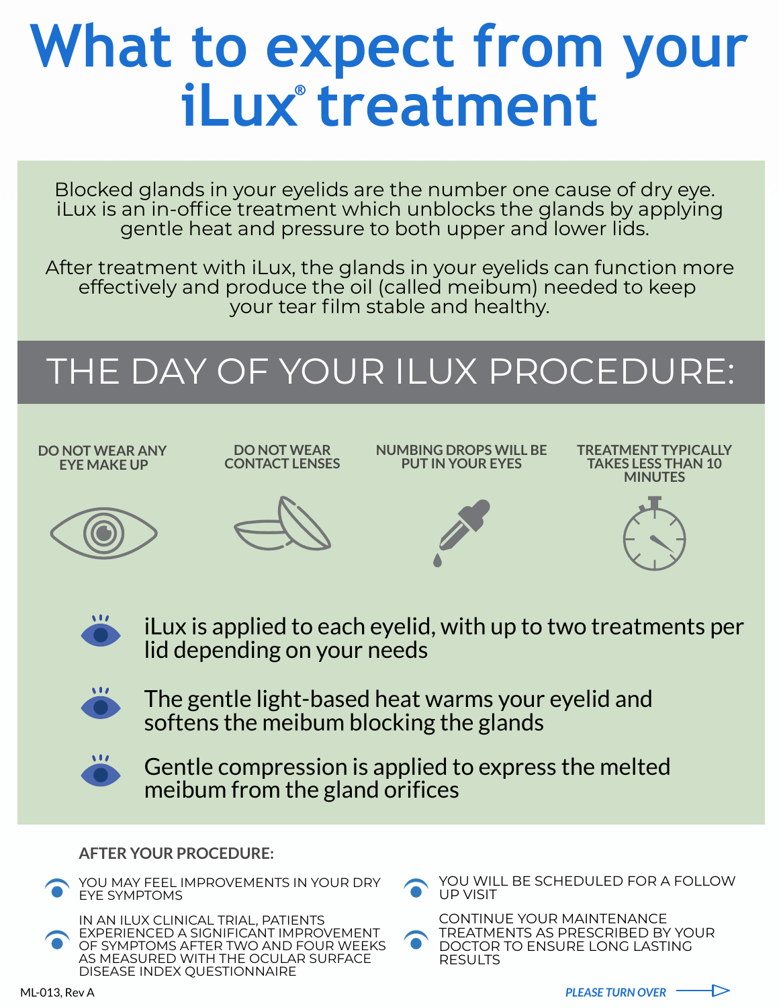# **What to expect from your iLux treatment**

Blocked glands in your eyelids are the number one cause of dry eye. iLux is an in-office treatment which unblocks the glands by applying gentle heat and pressure to both upper and lower lids.

After treatment with iLux, the glands in your eyelids can function more effectively and produce the oil (called meibum) needed to keep your tear film stable and healthy.

> iLux is applied to each eyelid, with up to two treatments per lid depending on your needs



The gentle light-based heat warms your eyelid and softens the meibum blocking the glands

Gentle compression is applied to express the melted



#### **AFTER YOUR PROCEDURE:**







```
IN AN ILUX CLINICAL TRIAL, PATIENTS
EXPERIENCED A SIGNIFICANT IMPROVEMENT
OF SYMPTOMS AFTER TWO AND FOUR WEEKS
AS MEASURED WITH THE OCULAR SURFACE
DISEASE INDEX QUESTIONNAIRE
```




## THE DAY OF YOUR ILUX PROCEDURE: